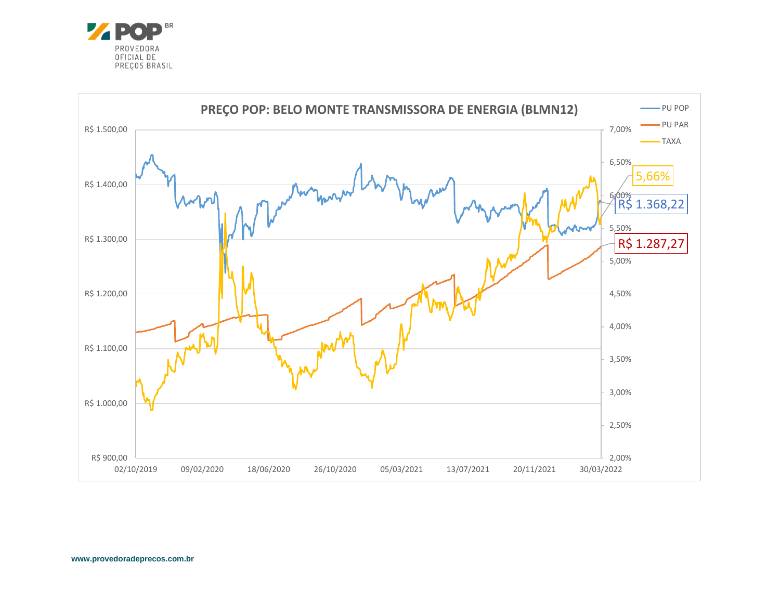

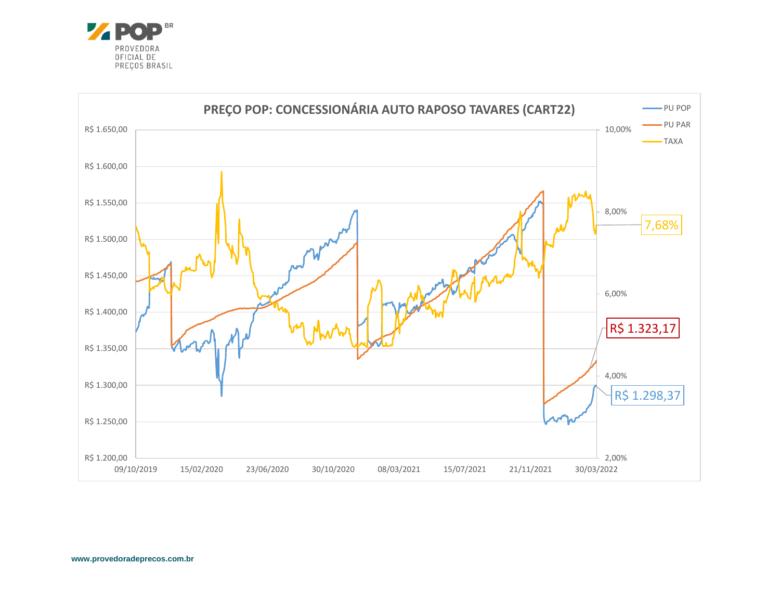

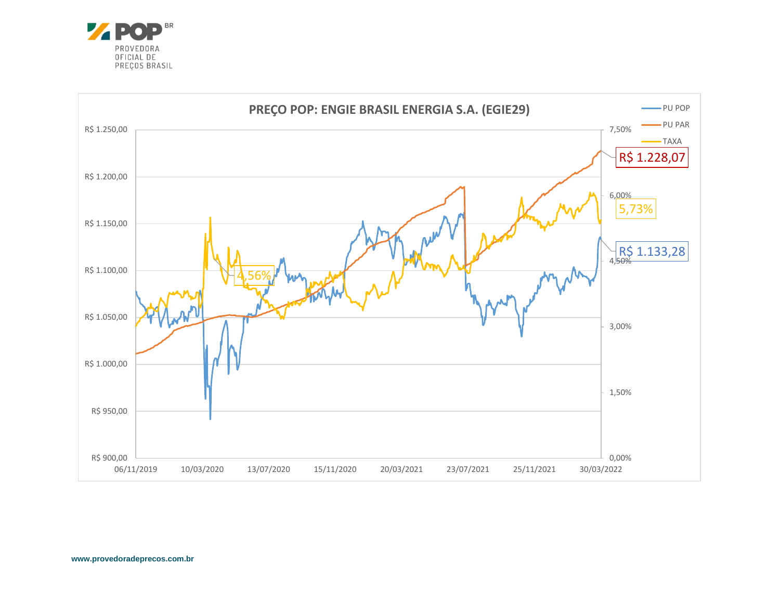

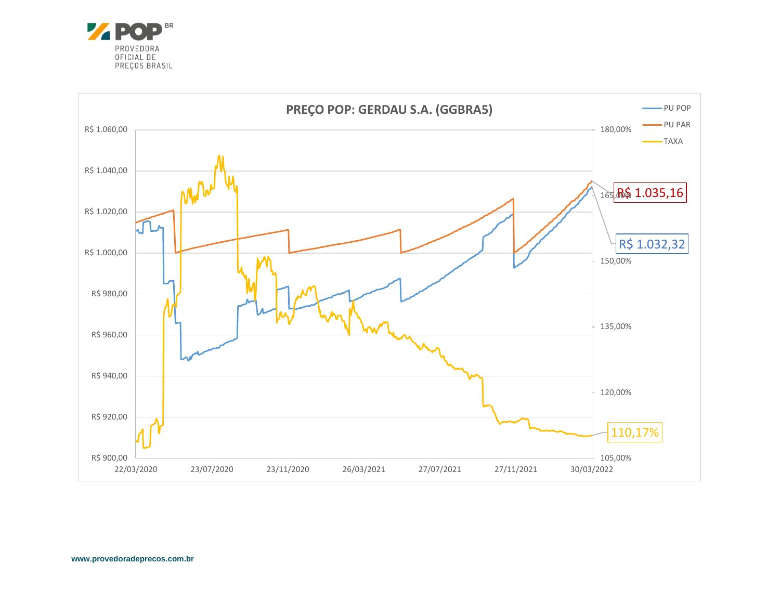

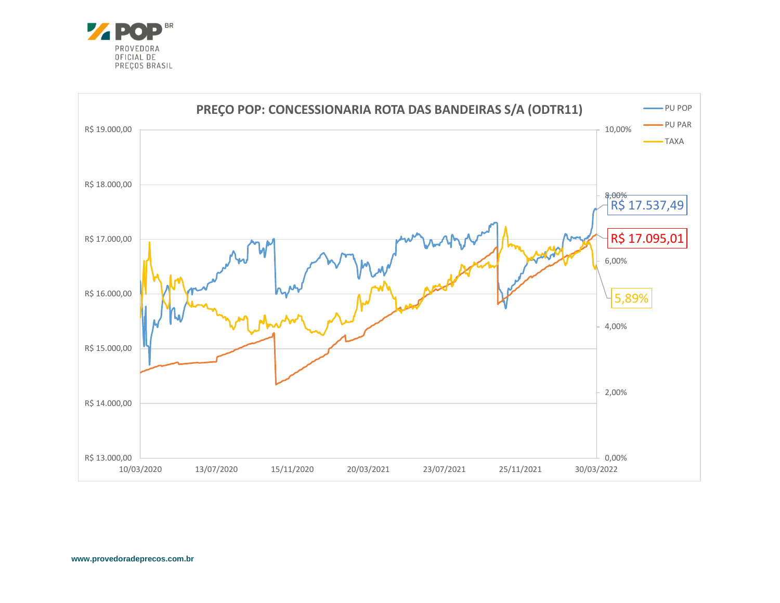

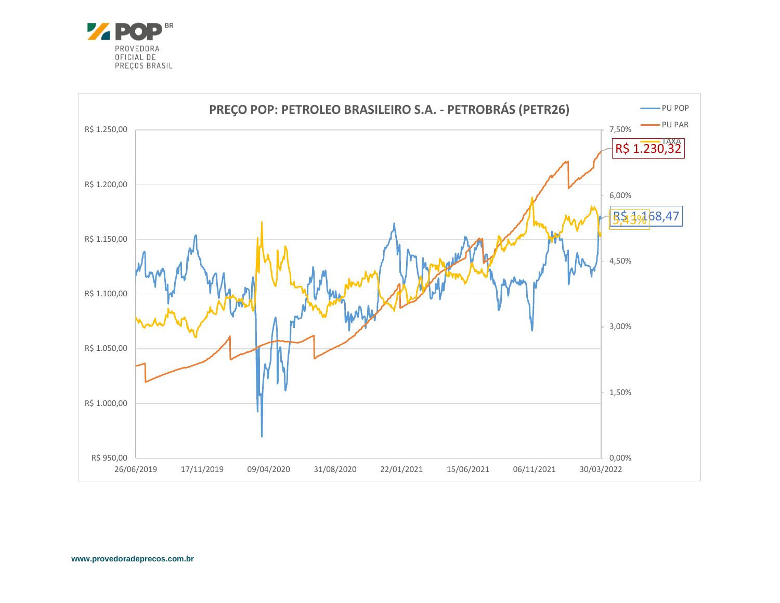

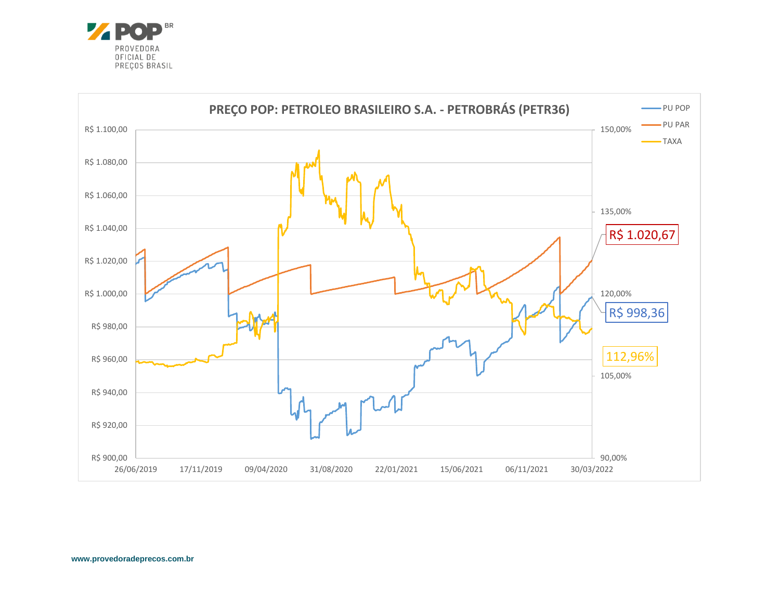

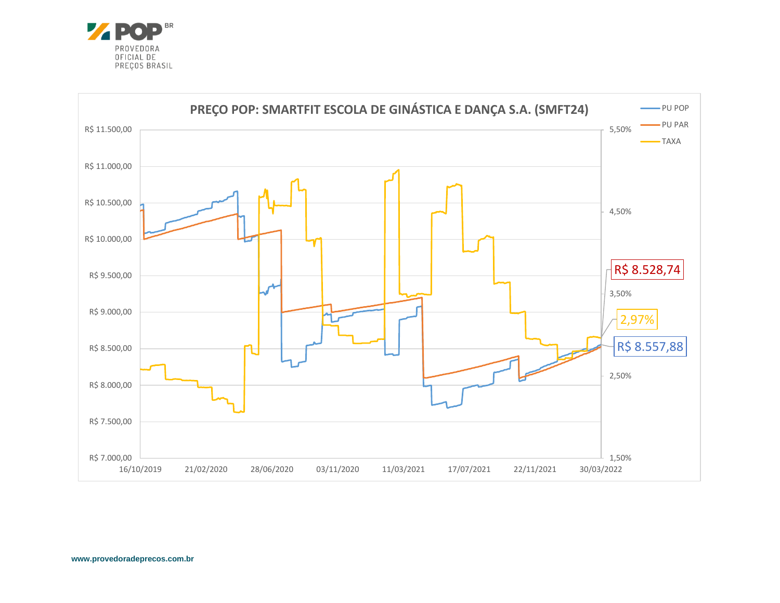

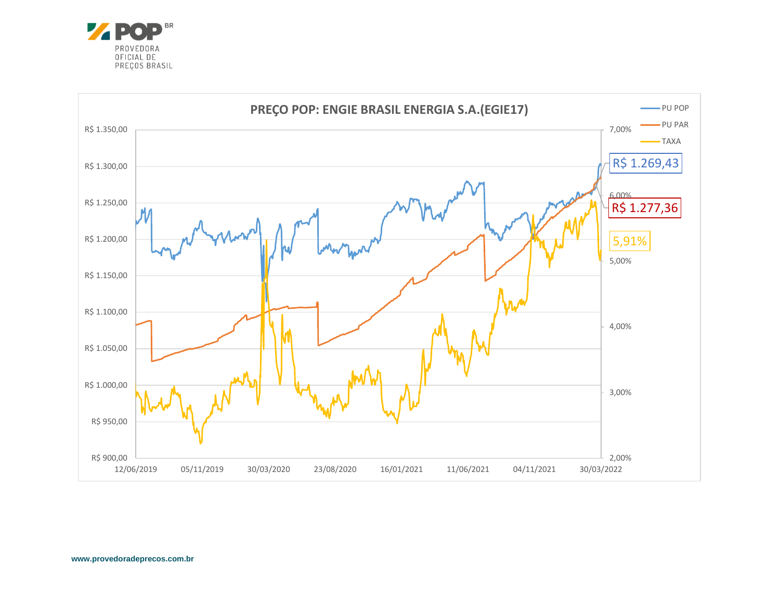

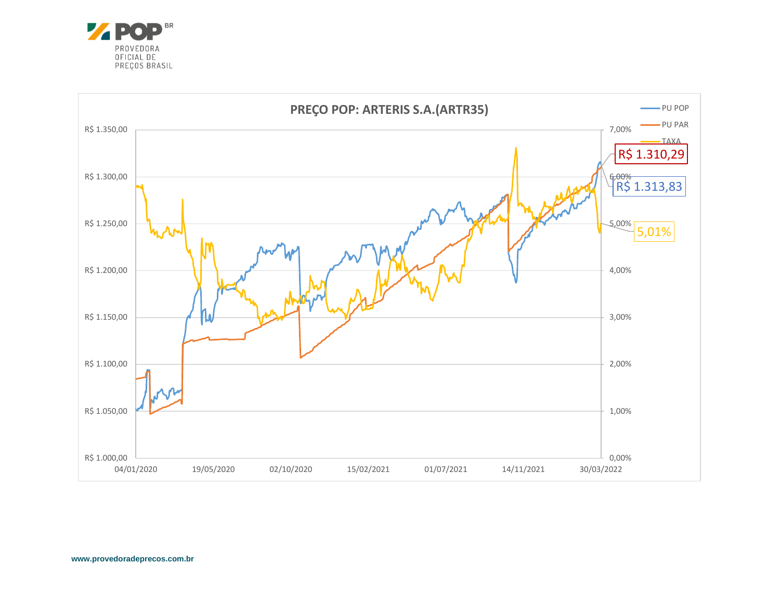

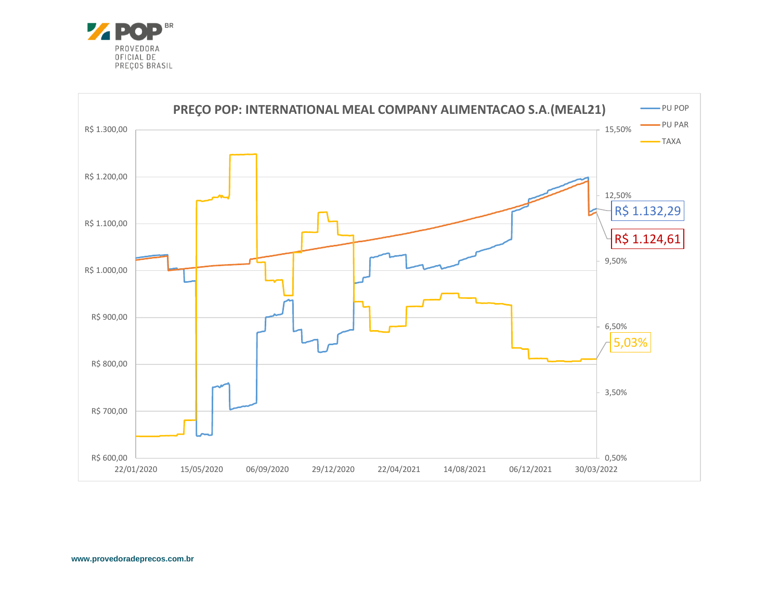

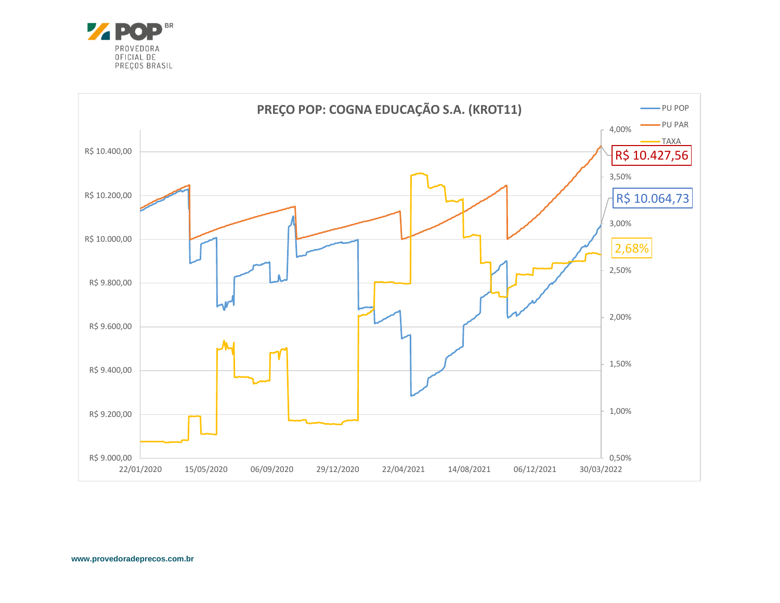

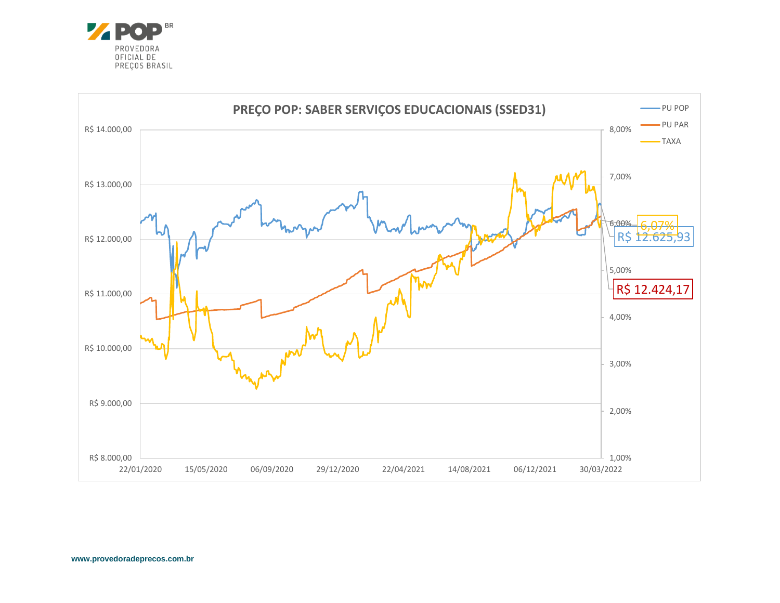

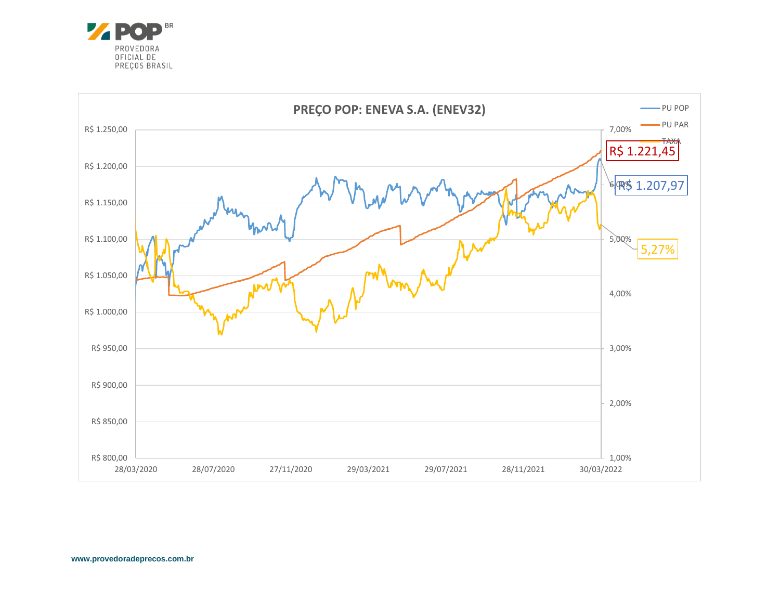

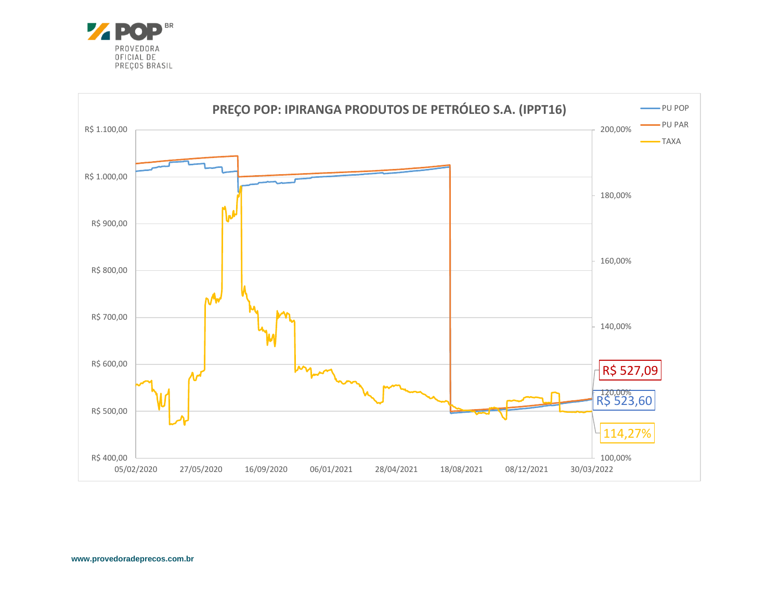

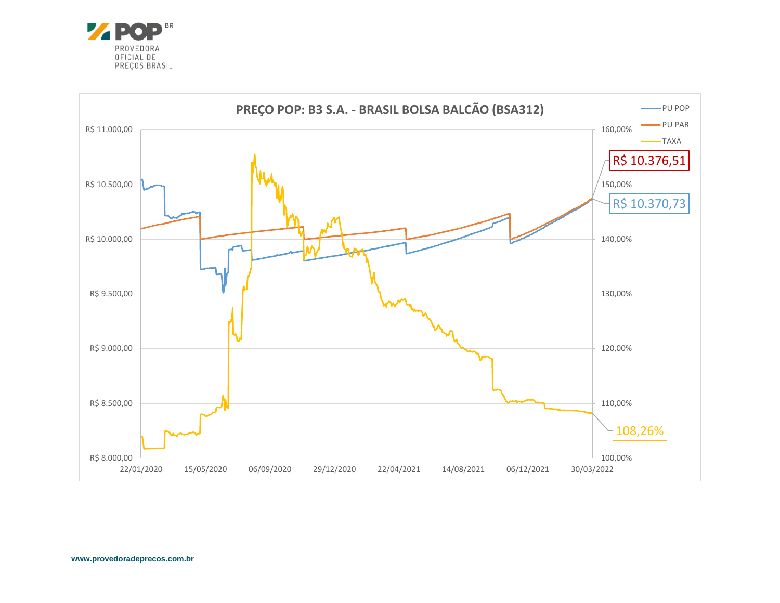

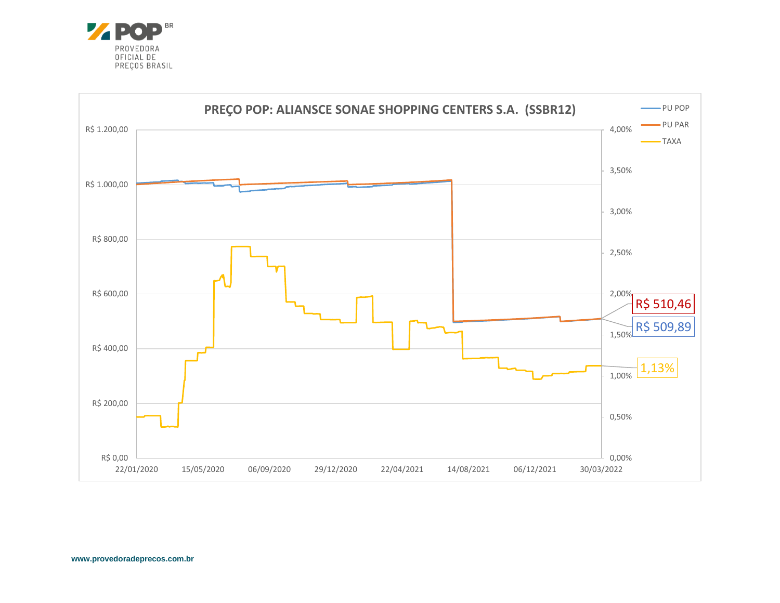

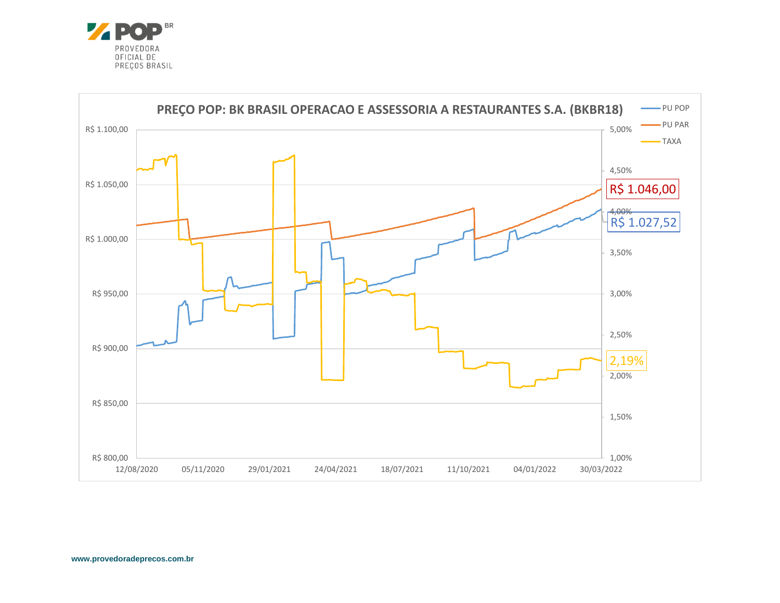

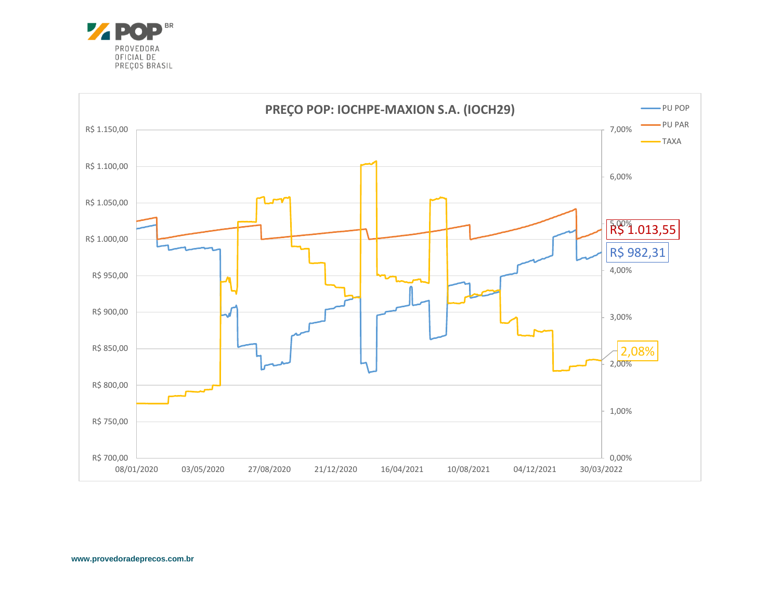

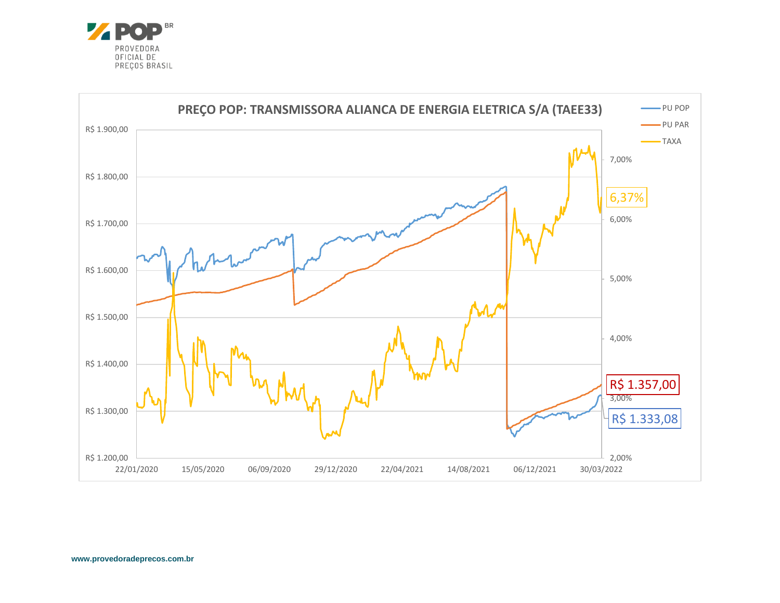

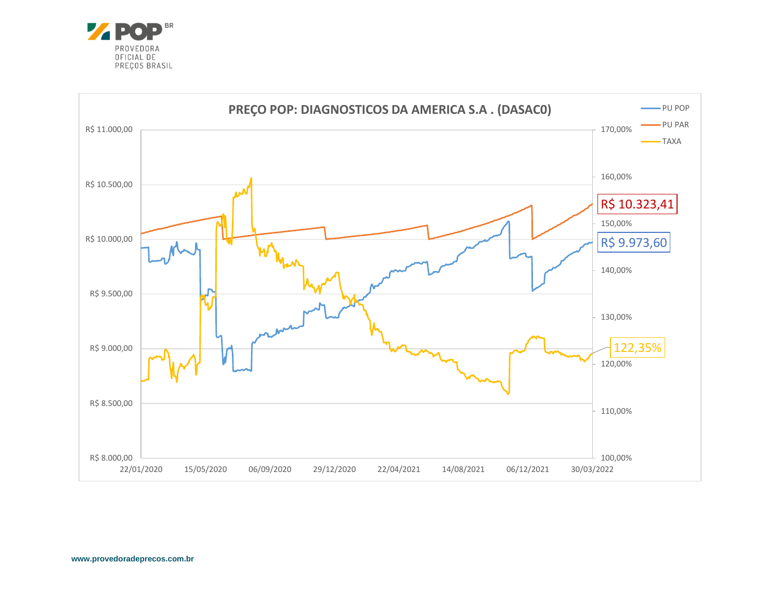

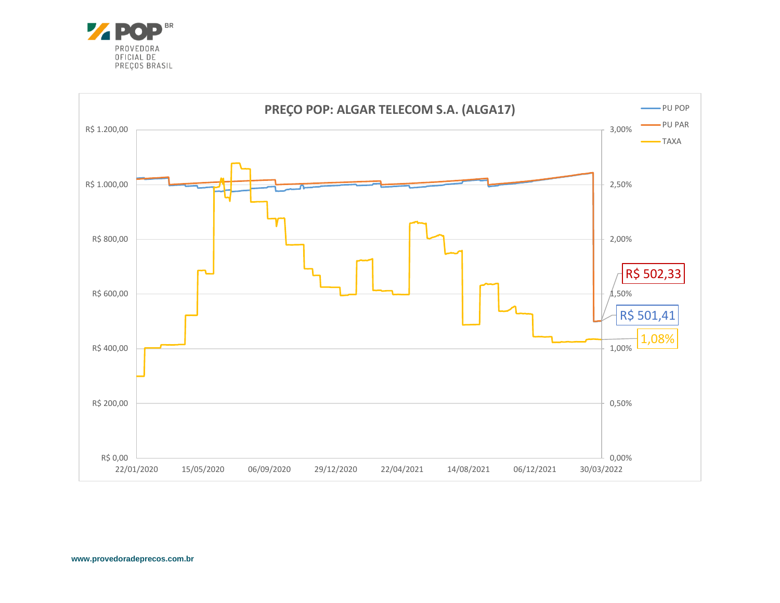

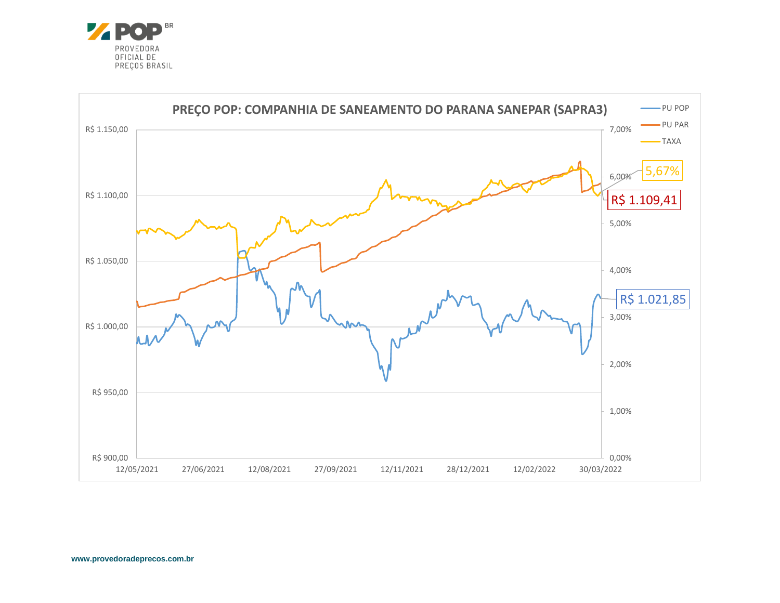

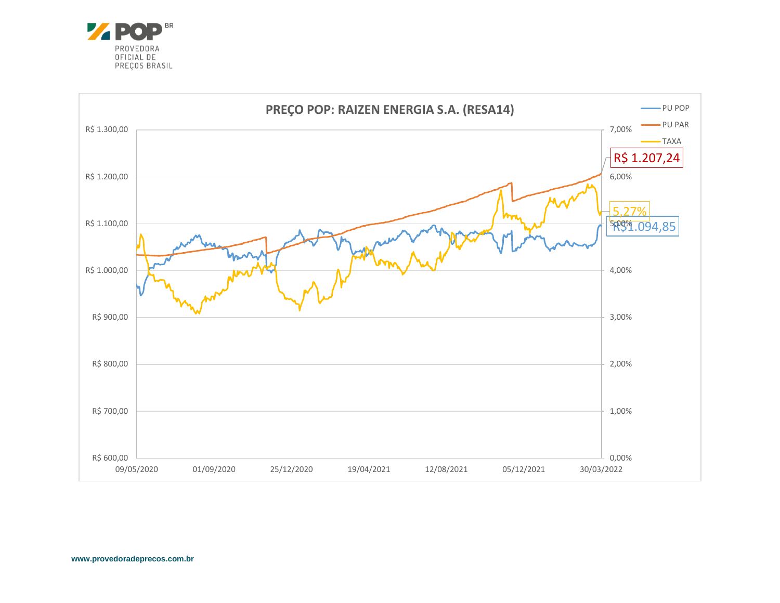

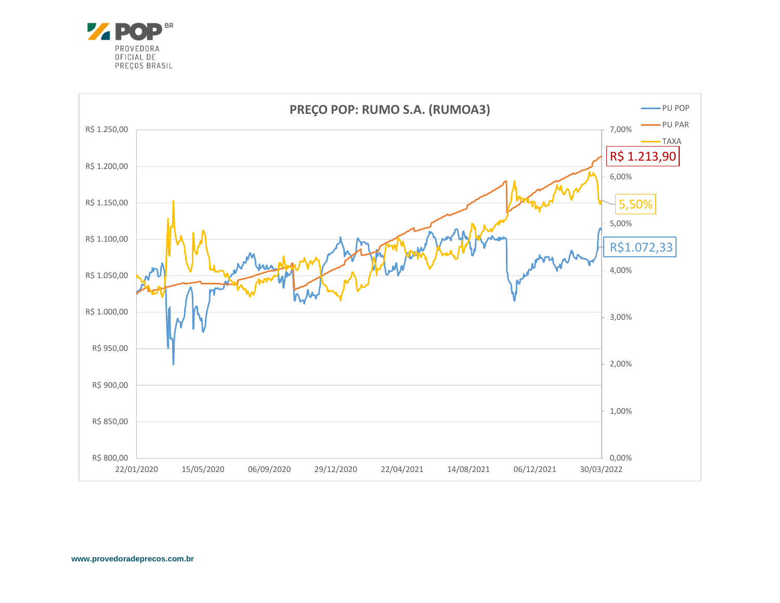